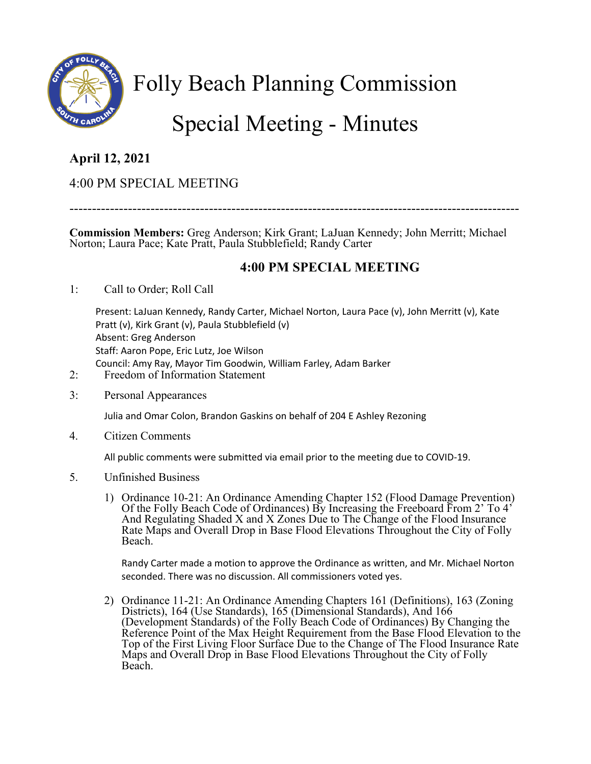

Folly Beach Planning Commission

# Special Meeting - Minutes

## **April 12, 2021**

### 4:00 PM SPECIAL MEETING

----------------------------------------------------------------------------------------------------

**Commission Members:** Greg Anderson; Kirk Grant; LaJuan Kennedy; John Merritt; Michael Norton; Laura Pace; Kate Pratt, Paula Stubblefield; Randy Carter

#### **4:00 PM SPECIAL MEETING**

1: Call to Order; Roll Call

Present: LaJuan Kennedy, Randy Carter, Michael Norton, Laura Pace (v), John Merritt (v), Kate Pratt (v), Kirk Grant (v), Paula Stubblefield (v) Absent: Greg Anderson Staff: Aaron Pope, Eric Lutz, Joe Wilson Council: Amy Ray, Mayor Tim Goodwin, William Farley, Adam Barker

- 2: Freedom of Information Statement
- 3: Personal Appearances

Julia and Omar Colon, Brandon Gaskins on behalf of 204 E Ashley Rezoning

4. Citizen Comments

All public comments were submitted via email prior to the meeting due to COVID-19.

- 5. Unfinished Business
	- 1) Ordinance 10-21: An Ordinance Amending Chapter 152 (Flood Damage Prevention) Of the Folly Beach Code of Ordinances) By Increasing the Freeboard From 2' To 4' And Regulating Shaded X and X Zones Due to The Change of the Flood Insurance Rate Maps and Overall Drop in Base Flood Elevations Throughout the City of Folly Beach.

Randy Carter made a motion to approve the Ordinance as written, and Mr. Michael Norton seconded. There was no discussion. All commissioners voted yes.

2) Ordinance 11-21: An Ordinance Amending Chapters 161 (Definitions), 163 (Zoning Districts), 164 (Use Standards), 165 (Dimensional Standards), And 166 (Development Standards) of the Folly Beach Code of Ordinances) By Changing the Reference Point of the Max Height Requirement from the Base Flood Elevation to the Top of the First Living Floor Surface Due to the Change of The Flood Insurance Rate Maps and Overall Drop in Base Flood Elevations Throughout the City of Folly Beach.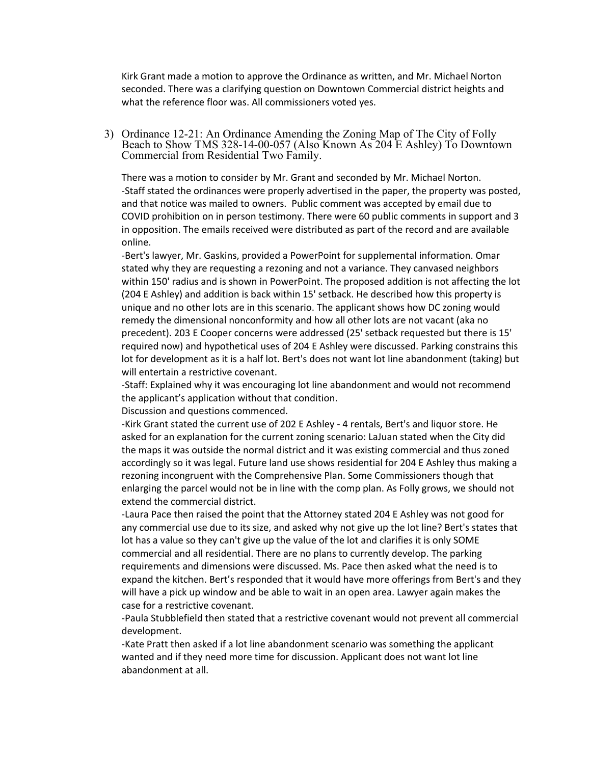Kirk Grant made a motion to approve the Ordinance as written, and Mr. Michael Norton seconded. There was a clarifying question on Downtown Commercial district heights and what the reference floor was. All commissioners voted yes.

3) Ordinance 12-21: An Ordinance Amending the Zoning Map of The City of Folly Beach to Show TMS 328-14-00-057 (Also Known As 204 E Ashley) To Downtown Commercial from Residential Two Family.

There was a motion to consider by Mr. Grant and seconded by Mr. Michael Norton. -Staff stated the ordinances were properly advertised in the paper, the property was posted, and that notice was mailed to owners. Public comment was accepted by email due to COVID prohibition on in person testimony. There were 60 public comments in support and 3 in opposition. The emails received were distributed as part of the record and are available online.

-Bert's lawyer, Mr. Gaskins, provided a PowerPoint for supplemental information. Omar stated why they are requesting a rezoning and not a variance. They canvased neighbors within 150' radius and is shown in PowerPoint. The proposed addition is not affecting the lot (204 E Ashley) and addition is back within 15' setback. He described how this property is unique and no other lots are in this scenario. The applicant shows how DC zoning would remedy the dimensional nonconformity and how all other lots are not vacant (aka no precedent). 203 E Cooper concerns were addressed (25' setback requested but there is 15' required now) and hypothetical uses of 204 E Ashley were discussed. Parking constrains this lot for development as it is a half lot. Bert's does not want lot line abandonment (taking) but will entertain a restrictive covenant.

-Staff: Explained why it was encouraging lot line abandonment and would not recommend the applicant's application without that condition.

Discussion and questions commenced.

-Kirk Grant stated the current use of 202 E Ashley - 4 rentals, Bert's and liquor store. He asked for an explanation for the current zoning scenario: LaJuan stated when the City did the maps it was outside the normal district and it was existing commercial and thus zoned accordingly so it was legal. Future land use shows residential for 204 E Ashley thus making a rezoning incongruent with the Comprehensive Plan. Some Commissioners though that enlarging the parcel would not be in line with the comp plan. As Folly grows, we should not extend the commercial district.

-Laura Pace then raised the point that the Attorney stated 204 E Ashley was not good for any commercial use due to its size, and asked why not give up the lot line? Bert's states that lot has a value so they can't give up the value of the lot and clarifies it is only SOME commercial and all residential. There are no plans to currently develop. The parking requirements and dimensions were discussed. Ms. Pace then asked what the need is to expand the kitchen. Bert's responded that it would have more offerings from Bert's and they will have a pick up window and be able to wait in an open area. Lawyer again makes the case for a restrictive covenant.

-Paula Stubblefield then stated that a restrictive covenant would not prevent all commercial development.

-Kate Pratt then asked if a lot line abandonment scenario was something the applicant wanted and if they need more time for discussion. Applicant does not want lot line abandonment at all.